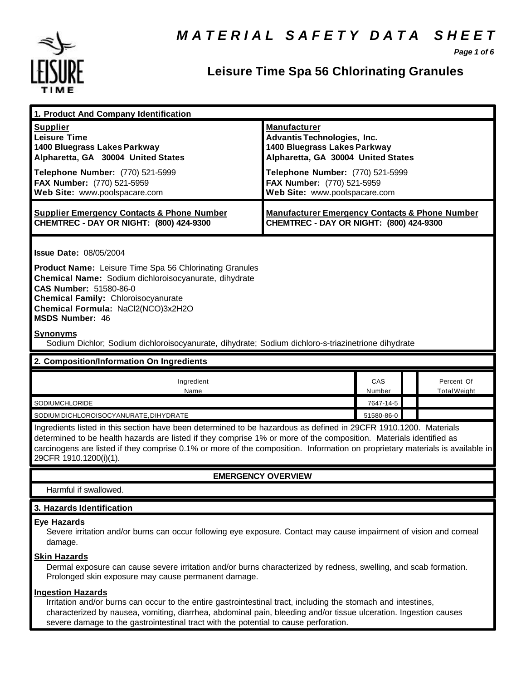

*Page 1 of 6*

# **Leisure Time Spa 56 Chlorinating Granules**

| 1. Product And Company Identification                                                                                                                                                                                                                                                                                                                                                             |                                                                                                                                                                     |               |  |                                   |
|---------------------------------------------------------------------------------------------------------------------------------------------------------------------------------------------------------------------------------------------------------------------------------------------------------------------------------------------------------------------------------------------------|---------------------------------------------------------------------------------------------------------------------------------------------------------------------|---------------|--|-----------------------------------|
| <b>Supplier</b><br><b>Leisure Time</b><br>1400 Bluegrass Lakes Parkway<br>Alpharetta, GA 30004 United States<br>Telephone Number: (770) 521-5999                                                                                                                                                                                                                                                  | <b>Manufacturer</b><br><b>Advantis Technologies, Inc.</b><br>1400 Bluegrass Lakes Parkway<br>Alpharetta, GA 30004 United States<br>Telephone Number: (770) 521-5999 |               |  |                                   |
| FAX Number: (770) 521-5959<br>Web Site: www.poolspacare.com                                                                                                                                                                                                                                                                                                                                       | FAX Number: (770) 521-5959<br>Web Site: www.poolspacare.com                                                                                                         |               |  |                                   |
| <b>Supplier Emergency Contacts &amp; Phone Number</b><br>CHEMTREC - DAY OR NIGHT: (800) 424-9300                                                                                                                                                                                                                                                                                                  | <b>Manufacturer Emergency Contacts &amp; Phone Number</b><br>CHEMTREC - DAY OR NIGHT: (800) 424-9300                                                                |               |  |                                   |
| <b>Issue Date: 08/05/2004</b><br><b>Product Name:</b> Leisure Time Spa 56 Chlorinating Granules<br>Chemical Name: Sodium dichloroisocyanurate, dihydrate                                                                                                                                                                                                                                          |                                                                                                                                                                     |               |  |                                   |
| CAS Number: 51580-86-0<br><b>Chemical Family: Chloroisocyanurate</b><br>Chemical Formula: NaCl2(NCO)3x2H2O<br><b>MSDS Number: 46</b>                                                                                                                                                                                                                                                              |                                                                                                                                                                     |               |  |                                   |
| <b>Synonyms</b><br>Sodium Dichlor; Sodium dichloroisocyanurate, dihydrate; Sodium dichloro-s-triazinetrione dihydrate                                                                                                                                                                                                                                                                             |                                                                                                                                                                     |               |  |                                   |
| 2. Composition/Information On Ingredients                                                                                                                                                                                                                                                                                                                                                         |                                                                                                                                                                     |               |  |                                   |
| Ingredient<br>Name                                                                                                                                                                                                                                                                                                                                                                                |                                                                                                                                                                     | CAS<br>Number |  | Percent Of<br><b>Total Weight</b> |
| SODIUMCHLORIDE                                                                                                                                                                                                                                                                                                                                                                                    |                                                                                                                                                                     | 7647-14-5     |  |                                   |
| SODIUM DICHLOROISOCYANURATE, DIHYDRATE                                                                                                                                                                                                                                                                                                                                                            |                                                                                                                                                                     | 51580-86-0    |  |                                   |
| Ingredients listed in this section have been determined to be hazardous as defined in 29CFR 1910.1200. Materials<br>determined to be health hazards are listed if they comprise 1% or more of the composition. Materials identified as<br>carcinogens are listed if they comprise 0.1% or more of the composition. Information on proprietary materials is available in<br>29CFR 1910.1200(i)(1). |                                                                                                                                                                     |               |  |                                   |
|                                                                                                                                                                                                                                                                                                                                                                                                   | <b>EMERGENCY OVERVIEW</b>                                                                                                                                           |               |  |                                   |
| Harmful if swallowed.                                                                                                                                                                                                                                                                                                                                                                             |                                                                                                                                                                     |               |  |                                   |
| 3. Hazards Identification                                                                                                                                                                                                                                                                                                                                                                         |                                                                                                                                                                     |               |  |                                   |
| <b>Eye Hazards</b><br>Severe irritation and/or burns can occur following eye exposure. Contact may cause impairment of vision and corneal<br>damage.                                                                                                                                                                                                                                              |                                                                                                                                                                     |               |  |                                   |
| <b>Skin Hazards</b><br>Dermal exposure can cause severe irritation and/or burns characterized by redness, swelling, and scab formation.<br>Prolonged skin exposure may cause permanent damage.                                                                                                                                                                                                    |                                                                                                                                                                     |               |  |                                   |
| <b>Ingestion Hazards</b><br>Irritation and/or burns can occur to the entire gastrointestinal tract, including the stomach and intestines,<br>characterized by nausea, vomiting, diarrhea, abdominal pain, bleeding and/or tissue ulceration. Ingestion causes                                                                                                                                     |                                                                                                                                                                     |               |  |                                   |

severe damage to the gastrointestinal tract with the potential to cause perforation.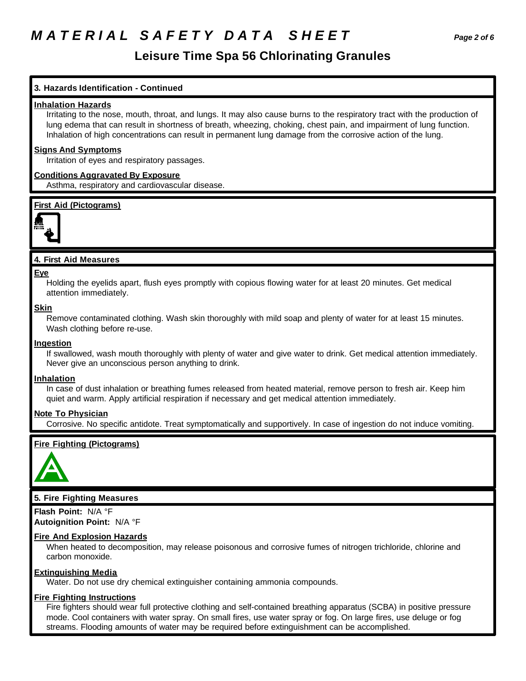# *M A T E R I A L S A F E T Y D A T A S H E E T Page 2 of 6*

## **Leisure Time Spa 56 Chlorinating Granules**

### **3. Hazards Identification - Continued**

### **Inhalation Hazards**

Irritating to the nose, mouth, throat, and lungs. It may also cause burns to the respiratory tract with the production of lung edema that can result in shortness of breath, wheezing, choking, chest pain, and impairment of lung function. Inhalation of high concentrations can result in permanent lung damage from the corrosive action of the lung.

### **Signs And Symptoms**

Irritation of eyes and respiratory passages.

### **Conditions Aggravated By Exposure**

Asthma, respiratory and cardiovascular disease.

### **First Aid (Pictograms)**



### **4. First Aid Measures**

#### **Eye**

Holding the eyelids apart, flush eyes promptly with copious flowing water for at least 20 minutes. Get medical attention immediately.

### **Skin**

Remove contaminated clothing. Wash skin thoroughly with mild soap and plenty of water for at least 15 minutes. Wash clothing before re-use.

### **Ingestion**

If swallowed, wash mouth thoroughly with plenty of water and give water to drink. Get medical attention immediately. Never give an unconscious person anything to drink.

### **Inhalation**

In case of dust inhalation or breathing fumes released from heated material, remove person to fresh air. Keep him quiet and warm. Apply artificial respiration if necessary and get medical attention immediately.

### **Note To Physician**

Corrosive. No specific antidote. Treat symptomatically and supportively. In case of ingestion do not induce vomiting.

### **Fire Fighting (Pictograms)**



### **5. Fire Fighting Measures**

**Flash Point:** N/A °F **Autoignition Point:** N/A °F

### **Fire And Explosion Hazards**

When heated to decomposition, may release poisonous and corrosive fumes of nitrogen trichloride, chlorine and carbon monoxide.

### **Extinguishing Media**

Water. Do not use dry chemical extinguisher containing ammonia compounds.

### **Fire Fighting Instructions**

Fire fighters should wear full protective clothing and self-contained breathing apparatus (SCBA) in positive pressure mode. Cool containers with water spray. On small fires, use water spray or fog. On large fires, use deluge or fog streams. Flooding amounts of water may be required before extinguishment can be accomplished.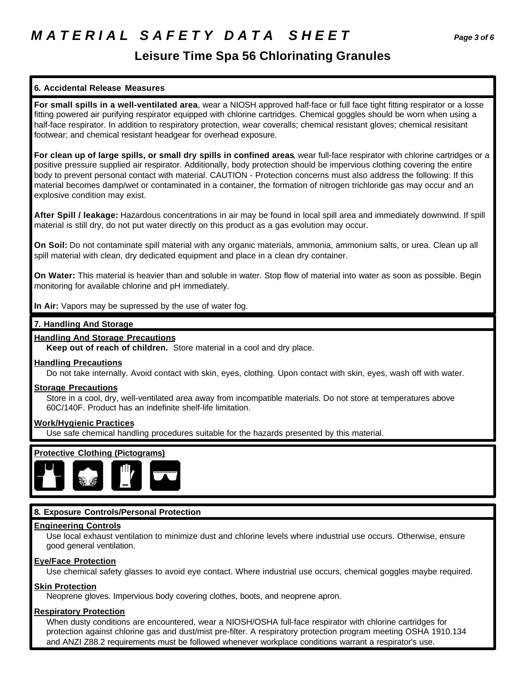## **Leisure Time Spa 56 Chlorinating Granules**

## **6. Accidental Release Measures**

**For small spills in a well-ventilated area**, wear a NIOSH approved half-face or full face tight fitting respirator or a losse fitting powered air purifying respirator equipped with chlorine cartridges. Chemical goggles should be worn when using a half-face respirator. In addition to respiratory protection, wear coveralls; chemical resistant gloves; chemical resisitant footwear; and chemical resistant headgear for overhead exposure.

**For clean up of large spills, or small dry spills in confined areas**, wear full-face respirator with chlorine cartridges or a positive pressure supplied air respirator. Additionally, body protection should be impervious clothing covering the entire body to prevent personal contact with material. CAUTION - Protection concerns must also address the following: If this material becomes damp/wet or contaminated in a container, the formation of nitrogen trichloride gas may occur and an explosive condition may exist.

**After Spill / leakage:** Hazardous concentrations in air may be found in local spill area and immediately downwind. If spill material is still dry, do not put water directly on this product as a gas evolution may occur.

**On Soil:** Do not contaminate spill material with any organic materials, ammonia, ammonium salts, or urea. Clean up all spill material with clean, dry dedicated equipment and place in a clean dry container.

**On Water:** This material is heavier than and soluble in water. Stop flow of material into water as soon as possible. Begin monitoring for available chlorine and pH immediately.

**In Air:** Vapors may be supressed by the use of water fog.

### **7. Handling And Storage**

## **Handling And Storage Precautions**

**Keep out of reach of children.** Store material in a cool and dry place.

### **Handling Precautions**

Do not take internally. Avoid contact with skin, eyes, clothing. Upon contact with skin, eyes, wash off with water.

### **Storage Precautions**

Store in a cool, dry, well-ventilated area away from incompatible materials. Do not store at temperatures above 60C/140F. Product has an indefinite shelf-life limitation.

### **Work/Hygienic Practices**

Use safe chemical handling procedures suitable for the hazards presented by this material.



## **8. Exposure Controls/Personal Protection**

### **Engineering Controls**

Use local exhaust ventilation to minimize dust and chlorine levels where industrial use occurs. Otherwise, ensure good general ventilation.

### **Eye/Face Protection**

Use chemical safety glasses to avoid eye contact. Where industrial use occurs, chemical goggles maybe required.

### **Skin Protection**

Neoprene gloves. Impervious body covering clothes, boots, and neoprene apron.

### **Respiratory Protection**

When dusty conditions are encountered, wear a NIOSH/OSHA full-face respirator with chlorine cartridges for protection against chlorine gas and dust/mist pre-filter. A respiratory protection program meeting OSHA 1910.134 and ANZI Z88.2 requirements must be followed whenever workplace conditions warrant a respirator's use.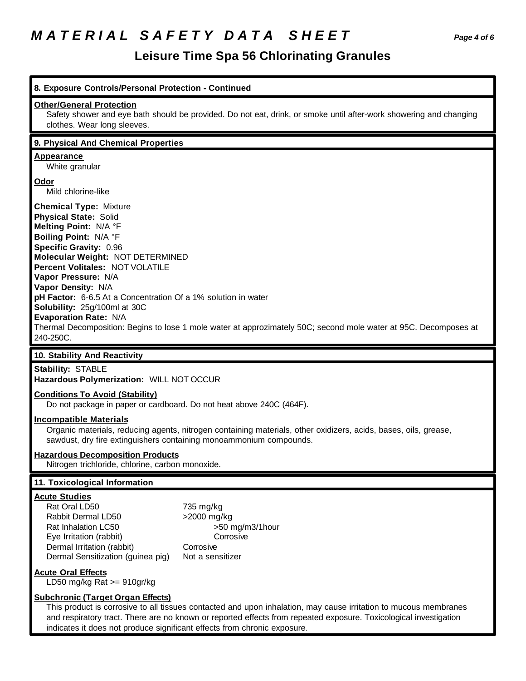# *M A T E R I A L S A F E T Y D A T A S H E E T Page 4 of 6*

indicates it does not produce significant effects from chronic exposure.

| 8. Exposure Controls/Personal Protection - Continued                                                                                                                                                                                                                                                                                                                                                 |                                                                                                                                                                                       |
|------------------------------------------------------------------------------------------------------------------------------------------------------------------------------------------------------------------------------------------------------------------------------------------------------------------------------------------------------------------------------------------------------|---------------------------------------------------------------------------------------------------------------------------------------------------------------------------------------|
| <b>Other/General Protection</b><br>clothes. Wear long sleeves.                                                                                                                                                                                                                                                                                                                                       | Safety shower and eye bath should be provided. Do not eat, drink, or smoke until after-work showering and changing                                                                    |
| 9. Physical And Chemical Properties                                                                                                                                                                                                                                                                                                                                                                  |                                                                                                                                                                                       |
| <b>Appearance</b><br>White granular                                                                                                                                                                                                                                                                                                                                                                  |                                                                                                                                                                                       |
| <b>Odor</b><br>Mild chlorine-like                                                                                                                                                                                                                                                                                                                                                                    |                                                                                                                                                                                       |
| <b>Chemical Type: Mixture</b><br><b>Physical State: Solid</b><br>Melting Point: N/A °F<br>Boiling Point: N/A °F<br>Specific Gravity: 0.96<br>Molecular Weight: NOT DETERMINED<br>Percent Volitales: NOT VOLATILE<br>Vapor Pressure: N/A<br>Vapor Density: N/A<br>pH Factor: 6-6.5 At a Concentration Of a 1% solution in water<br>Solubility: 25g/100ml at 30C<br>Evaporation Rate: N/A<br>240-250C. | Thermal Decomposition: Begins to lose 1 mole water at approzimately 50C; second mole water at 95C. Decomposes at                                                                      |
| 10. Stability And Reactivity                                                                                                                                                                                                                                                                                                                                                                         |                                                                                                                                                                                       |
| <b>Stability: STABLE</b><br>Hazardous Polymerization: WILL NOT OCCUR                                                                                                                                                                                                                                                                                                                                 |                                                                                                                                                                                       |
| <b>Conditions To Avoid (Stability)</b><br>Do not package in paper or cardboard. Do not heat above 240C (464F).                                                                                                                                                                                                                                                                                       |                                                                                                                                                                                       |
| <b>Incompatible Materials</b>                                                                                                                                                                                                                                                                                                                                                                        | Organic materials, reducing agents, nitrogen containing materials, other oxidizers, acids, bases, oils, grease,<br>sawdust, dry fire extinguishers containing monoammonium compounds. |
|                                                                                                                                                                                                                                                                                                                                                                                                      |                                                                                                                                                                                       |
| <b>Hazardous Decomposition Products</b><br>Nitrogen trichloride, chlorine, carbon monoxide.                                                                                                                                                                                                                                                                                                          |                                                                                                                                                                                       |
| 11. Toxicological Information                                                                                                                                                                                                                                                                                                                                                                        |                                                                                                                                                                                       |
| <b>Acute Studies</b><br>Rat Oral LD50<br>Rabbit Dermal LD50<br>Rat Inhalation LC50<br>Eye Irritation (rabbit)<br>Dermal Irritation (rabbit)<br>Dermal Sensitization (guinea pig)                                                                                                                                                                                                                     | 735 mg/kg<br>>2000 mg/kg<br>>50 mg/m3/1hour<br>Corrosive<br>Corrosive<br>Not a sensitizer                                                                                             |
| <b>Acute Oral Effects</b><br>LD50 mg/kg Rat $>= 910$ gr/kg                                                                                                                                                                                                                                                                                                                                           |                                                                                                                                                                                       |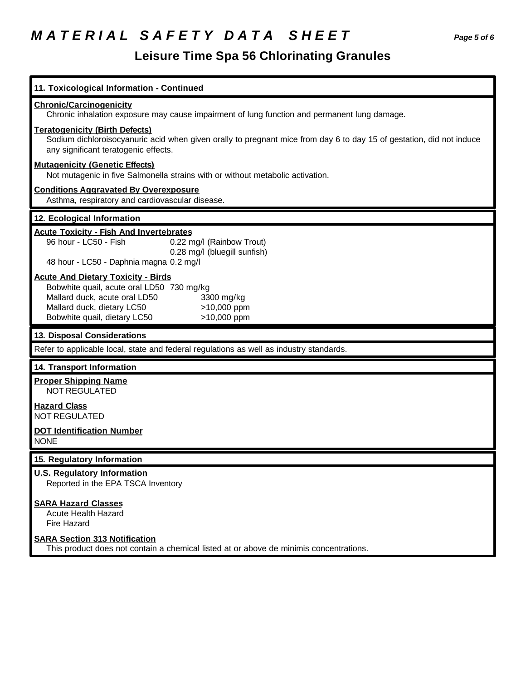# *M A T E R I A L S A F E T Y D A T A S H E E T Page 5 of 6*

| 11. Toxicological Information - Continued                                                                                                                                                             |  |  |
|-------------------------------------------------------------------------------------------------------------------------------------------------------------------------------------------------------|--|--|
| <b>Chronic/Carcinogenicity</b><br>Chronic inhalation exposure may cause impairment of lung function and permanent lung damage.                                                                        |  |  |
| <b>Teratogenicity (Birth Defects)</b><br>Sodium dichloroisocyanuric acid when given orally to pregnant mice from day 6 to day 15 of gestation, did not induce<br>any significant teratogenic effects. |  |  |
| <b>Mutagenicity (Genetic Effects)</b><br>Not mutagenic in five Salmonella strains with or without metabolic activation.                                                                               |  |  |
| <b>Conditions Aggravated By Overexposure</b><br>Asthma, respiratory and cardiovascular disease.                                                                                                       |  |  |
| 12. Ecological Information                                                                                                                                                                            |  |  |
| <b>Acute Toxicity - Fish And Invertebrates</b><br>96 hour - LC50 - Fish<br>0.22 mg/l (Rainbow Trout)<br>0.28 mg/l (bluegill sunfish)<br>48 hour - LC50 - Daphnia magna 0.2 mg/l                       |  |  |
| <b>Acute And Dietary Toxicity - Birds</b>                                                                                                                                                             |  |  |
| Bobwhite quail, acute oral LD50 730 mg/kg<br>Mallard duck, acute oral LD50<br>3300 mg/kg<br>Mallard duck, dietary LC50<br>>10,000 ppm<br>Bobwhite quail, dietary LC50<br>>10,000 ppm                  |  |  |
| 13. Disposal Considerations                                                                                                                                                                           |  |  |
| Refer to applicable local, state and federal regulations as well as industry standards.                                                                                                               |  |  |
| 14. Transport Information                                                                                                                                                                             |  |  |
| <b>Proper Shipping Name</b><br><b>NOT REGULATED</b>                                                                                                                                                   |  |  |
|                                                                                                                                                                                                       |  |  |
| <b>Hazard Class</b><br><b>NOT REGULATED</b>                                                                                                                                                           |  |  |
| <b>DOT Identification Number</b><br><b>NONE</b>                                                                                                                                                       |  |  |
| 15. Regulatory Information                                                                                                                                                                            |  |  |
| <b>U.S. Regulatory Information</b><br>Reported in the EPA TSCA Inventory                                                                                                                              |  |  |
| <b>SARA Hazard Classes</b><br><b>Acute Health Hazard</b><br>Fire Hazard                                                                                                                               |  |  |
| <b>SARA Section 313 Notification</b><br>This product does not contain a chemical listed at or above de minimis concentrations.                                                                        |  |  |